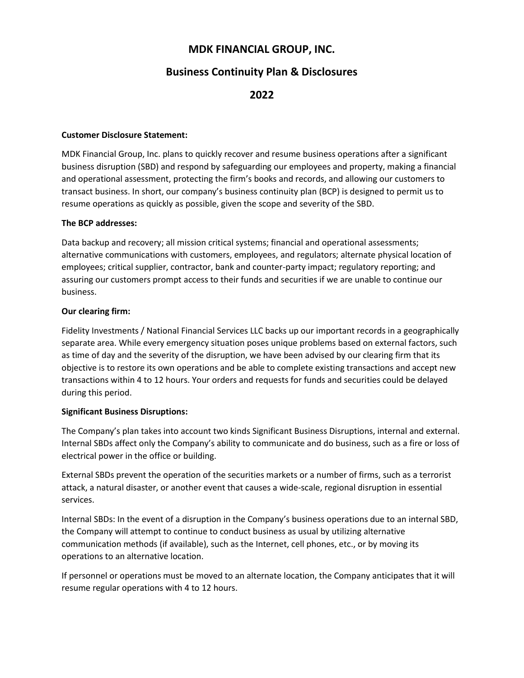# **MDK FINANCIAL GROUP, INC.**

## **Business Continuity Plan & Disclosures**

### **2022**

#### **Customer Disclosure Statement:**

MDK Financial Group, Inc. plans to quickly recover and resume business operations after a significant business disruption (SBD) and respond by safeguarding our employees and property, making a financial and operational assessment, protecting the firm's books and records, and allowing our customers to transact business. In short, our company's business continuity plan (BCP) is designed to permit us to resume operations as quickly as possible, given the scope and severity of the SBD.

#### **The BCP addresses:**

Data backup and recovery; all mission critical systems; financial and operational assessments; alternative communications with customers, employees, and regulators; alternate physical location of employees; critical supplier, contractor, bank and counter-party impact; regulatory reporting; and assuring our customers prompt access to their funds and securities if we are unable to continue our business.

#### **Our clearing firm:**

Fidelity Investments / National Financial Services LLC backs up our important records in a geographically separate area. While every emergency situation poses unique problems based on external factors, such as time of day and the severity of the disruption, we have been advised by our clearing firm that its objective is to restore its own operations and be able to complete existing transactions and accept new transactions within 4 to 12 hours. Your orders and requests for funds and securities could be delayed during this period.

### **Significant Business Disruptions:**

The Company's plan takes into account two kinds Significant Business Disruptions, internal and external. Internal SBDs affect only the Company's ability to communicate and do business, such as a fire or loss of electrical power in the office or building.

External SBDs prevent the operation of the securities markets or a number of firms, such as a terrorist attack, a natural disaster, or another event that causes a wide-scale, regional disruption in essential services.

Internal SBDs: In the event of a disruption in the Company's business operations due to an internal SBD, the Company will attempt to continue to conduct business as usual by utilizing alternative communication methods (if available), such as the Internet, cell phones, etc., or by moving its operations to an alternative location.

If personnel or operations must be moved to an alternate location, the Company anticipates that it will resume regular operations with 4 to 12 hours.